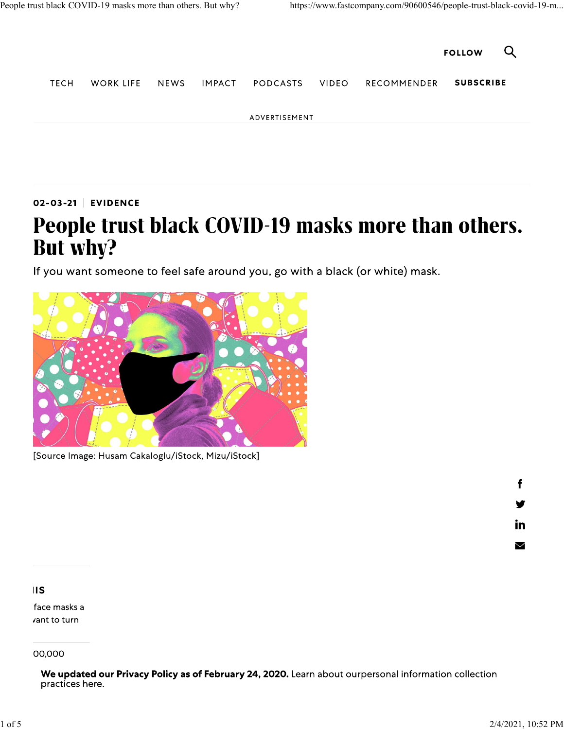

02-03-21 | EVIDENCE

## People trust black COVID-19 masks more than others. But why?

If you want someone to feel safe around you, go with a black (or white) mask.



[Source Image: Husam Cakaloglu/iStock, Mizu/iStock]

f v <u>in</u>

 $\blacksquare$ 

 $\blacksquare$ 

face masks a vant to turn

00,000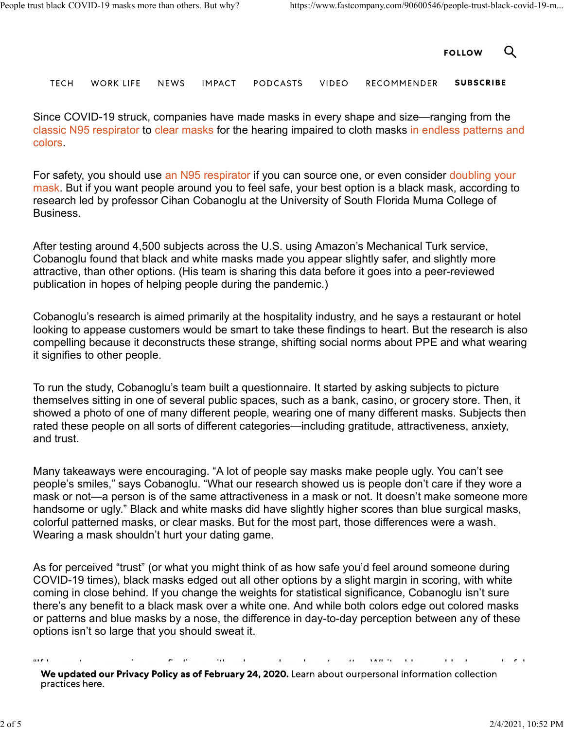

**TECH** WORK LIFE **NEWS IMPACT** PODCASTS **VIDEO RECOMMENDER SUBSCRIBE** 

Since COVID-19 struck, companies have made masks in every shape and size—ranging from the classic N95 respirator to clear masks for the hearing impaired to cloth masks in endless patterns and colors.

For safety, you should use an N95 respirator if you can source one, or even consider doubling your mask. But if you want people around you to feel safe, your best option is a black mask, according to research led by professor Cihan Cobanoglu at the University of South Florida Muma College of Business.

After testing around 4,500 subjects across the U.S. using Amazon's Mechanical Turk service, Cobanoglu found that black and white masks made you appear slightly safer, and slightly more attractive, than other options. (His team is sharing this data before it goes into a peer-reviewed publication in hopes of helping people during the pandemic.)

Cobanoglu's research is aimed primarily at the hospitality industry, and he says a restaurant or hotel looking to appease customers would be smart to take these findings to heart. But the research is also compelling because it deconstructs these strange, shifting social norms about PPE and what wearing it signifies to other people.

To run the study, Cobanoglu's team built a questionnaire. It started by asking subjects to picture themselves sitting in one of several public spaces, such as a bank, casino, or grocery store. Then, it showed a photo of one of many different people, wearing one of many different masks. Subjects then rated these people on all sorts of different categories—including gratitude, attractiveness, anxiety, and trust.

Many takeaways were encouraging. "A lot of people say masks make people ugly. You can't see people's smiles," says Cobanoglu. "What our research showed us is people don't care if they wore a mask or not—a person is of the same attractiveness in a mask or not. It doesn't make someone more handsome or ugly." Black and white masks did have slightly higher scores than blue surgical masks, colorful patterned masks, or clear masks. But for the most part, those differences were a wash. Wearing a mask shouldn't hurt your dating game.

As for perceived "trust" (or what you might think of as how safe you'd feel around someone during COVID-19 times), black masks edged out all other options by a slight margin in scoring, with white coming in close behind. If you change the weights for statistical significance, Cobanoglu isn't sure there's any benefit to a black mask over a white one. And while both colors edge out colored masks or patterns and blue masks by a nose, the difference in day-to-day perception between any of these options isn't so large that you should sweat it.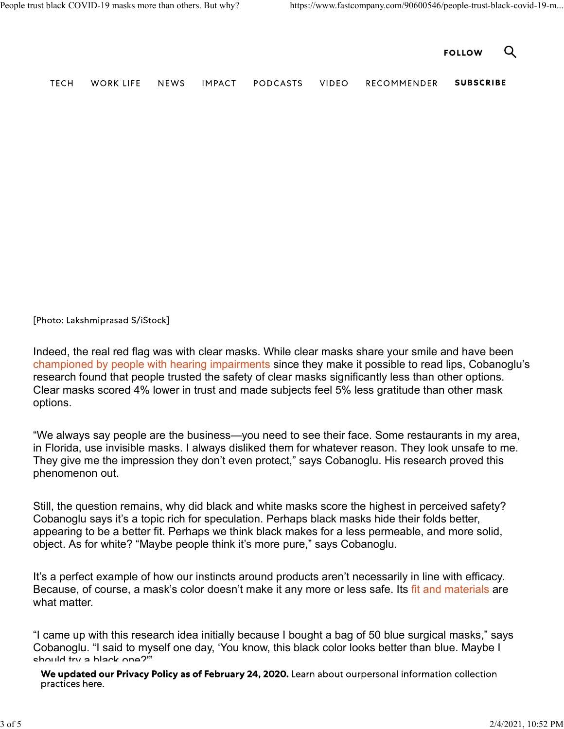|             | People trust black COVID-19 masks more than others. But why? |      |               |          |       | https://www.fastcompany.com/90600546/people-trust-black-covid-19-m |                  |   |
|-------------|--------------------------------------------------------------|------|---------------|----------|-------|--------------------------------------------------------------------|------------------|---|
|             |                                                              |      |               |          |       |                                                                    | <b>FOLLOW</b>    | Q |
| <b>TECH</b> | <b>WORK LIFE</b>                                             | NEWS | <b>IMPACT</b> | PODCASTS | VIDEO | RECOMMENDER                                                        | <b>SUBSCRIBE</b> |   |
|             |                                                              |      |               |          |       |                                                                    |                  |   |

[Photo: Lakshmiprasad S/iStock]

Indeed, the real red flag was with clear masks. While clear masks share your smile and have been championed by people with hearing impairments since they make it possible to read lips, Cobanoglu's research found that people trusted the safety of clear masks significantly less than other options. Clear masks scored 4% lower in trust and made subjects feel 5% less gratitude than other mask options.

"We always say people are the business—you need to see their face. Some restaurants in my area, in Florida, use invisible masks. I always disliked them for whatever reason. They look unsafe to me. They give me the impression they don't even protect," says Cobanoglu. His research proved this phenomenon out.

Still, the question remains, why did black and white masks score the highest in perceived safety? Cobanoglu says it's a topic rich for speculation. Perhaps black masks hide their folds better, appearing to be a better fit. Perhaps we think black makes for a less permeable, and more solid, object. As for white? "Maybe people think it's more pure," says Cobanoglu.

It's a perfect example of how our instincts around products aren't necessarily in line with efficacy. Because, of course, a mask's color doesn't make it any more or less safe. Its fit and materials are what matter.

"I came up with this research idea initially because I bought a bag of 50 blue surgical masks," says Cobanoglu. "I said to myself one day, 'You know, this black color looks better than blue. Maybe I should try a black one?'"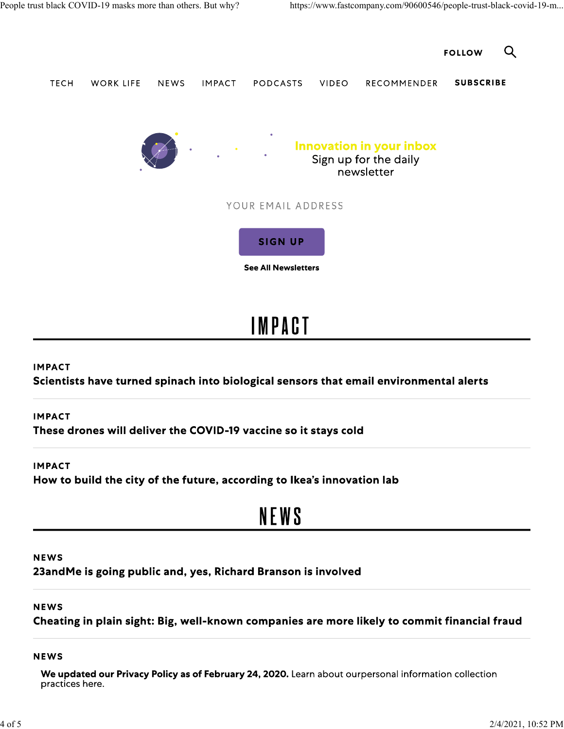

### **IMPACT**

Scientists have turned spinach into biological sensors that email environmental alerts

### **IMPACT**

These drones will deliver the COVID-19 vaccine so it stays cold

#### **IMPACT**

How to build the city of the future, according to Ikea's innovation lab

## **NEWS**

#### **NEWS**

23andMe is going public and, yes, Richard Branson is involved

## **NEWS**

Cheating in plain sight: Big, well-known companies are more likely to commit financial fraud

#### **NEWS**